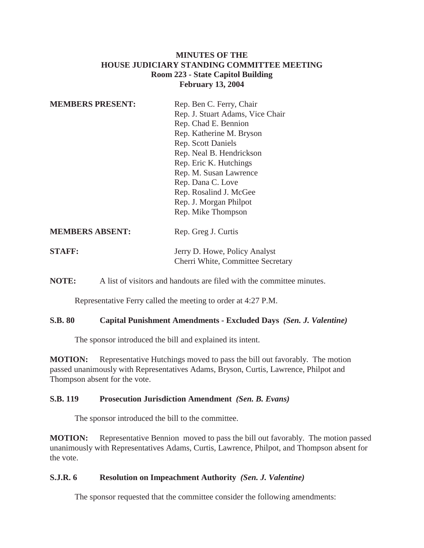## **MINUTES OF THE HOUSE JUDICIARY STANDING COMMITTEE MEETING Room 223 - State Capitol Building February 13, 2004**

| <b>MEMBERS PRESENT:</b> | Rep. Ben C. Ferry, Chair<br>Rep. J. Stuart Adams, Vice Chair<br>Rep. Chad E. Bennion<br>Rep. Katherine M. Bryson<br><b>Rep.</b> Scott Daniels<br>Rep. Neal B. Hendrickson<br>Rep. Eric K. Hutchings<br>Rep. M. Susan Lawrence<br>Rep. Dana C. Love<br>Rep. Rosalind J. McGee<br>Rep. J. Morgan Philpot<br>Rep. Mike Thompson |
|-------------------------|------------------------------------------------------------------------------------------------------------------------------------------------------------------------------------------------------------------------------------------------------------------------------------------------------------------------------|
| <b>MEMBERS ABSENT:</b>  | Rep. Greg J. Curtis                                                                                                                                                                                                                                                                                                          |
| <b>STAFF:</b>           | Jerry D. Howe, Policy Analyst                                                                                                                                                                                                                                                                                                |

**NOTE:** A list of visitors and handouts are filed with the committee minutes.

Representative Ferry called the meeting to order at 4:27 P.M.

#### **S.B. 80 Capital Punishment Amendments - Excluded Days** *(Sen. J. Valentine)*

Cherri White, Committee Secretary

The sponsor introduced the bill and explained its intent.

**MOTION:** Representative Hutchings moved to pass the bill out favorably. The motion passed unanimously with Representatives Adams, Bryson, Curtis, Lawrence, Philpot and Thompson absent for the vote.

#### **S.B. 119 Prosecution Jurisdiction Amendment** *(Sen. B. Evans)*

The sponsor introduced the bill to the committee.

**MOTION:** Representative Bennion moved to pass the bill out favorably. The motion passed unanimously with Representatives Adams, Curtis, Lawrence, Philpot, and Thompson absent for the vote.

#### **S.J.R. 6 Resolution on Impeachment Authority** *(Sen. J. Valentine)*

The sponsor requested that the committee consider the following amendments: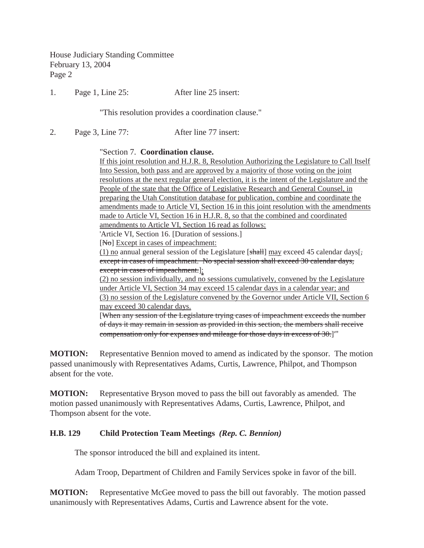House Judiciary Standing Committee February 13, 2004 Page 2

1. Page 1, Line 25: After line 25 insert:

"This resolution provides a coordination clause."

2. Page 3, Line 77: After line 77 insert:

#### "Section 7. **Coordination clause.**

If this joint resolution and H.J.R. 8, Resolution Authorizing the Legislature to Call Itself Into Session, both pass and are approved by a majority of those voting on the joint resolutions at the next regular general election, it is the intent of the Legislature and the People of the state that the Office of Legislative Research and General Counsel, in preparing the Utah Constitution database for publication, combine and coordinate the amendments made to Article VI, Section 16 in this joint resolution with the amendments made to Article VI, Section 16 in H.J.R. 8, so that the combined and coordinated amendments to Article VI, Section 16 read as follows:

'Article VI, Section 16. [Duration of sessions.]

[No] Except in cases of impeachment:

(1) no annual general session of the Legislature [ $shath$ ] may exceed 45 calendar days[ $\frac{1}{s}$ ] except in cases of impeachment. No special session shall exceed 30 calendar days, except in cases of impeachment.]:

(2) no session individually, and no sessions cumulatively, convened by the Legislature under Article VI, Section 34 may exceed 15 calendar days in a calendar year; and (3) no session of the Legislature convened by the Governor under Article VII, Section 6 may exceed 30 calendar days.

[When any session of the Legislature trying cases of impeachment exceeds the number of days it may remain in session as provided in this section, the members shall receive compensation only for expenses and mileage for those days in excess of 30.]'"

**MOTION:** Representative Bennion moved to amend as indicated by the sponsor. The motion passed unanimously with Representatives Adams, Curtis, Lawrence, Philpot, and Thompson absent for the vote.

**MOTION:** Representative Bryson moved to pass the bill out favorably as amended. The motion passed unanimously with Representatives Adams, Curtis, Lawrence, Philpot, and Thompson absent for the vote.

### **H.B. 129 Child Protection Team Meetings** *(Rep. C. Bennion)*

The sponsor introduced the bill and explained its intent.

Adam Troop, Department of Children and Family Services spoke in favor of the bill.

**MOTION:** Representative McGee moved to pass the bill out favorably. The motion passed unanimously with Representatives Adams, Curtis and Lawrence absent for the vote.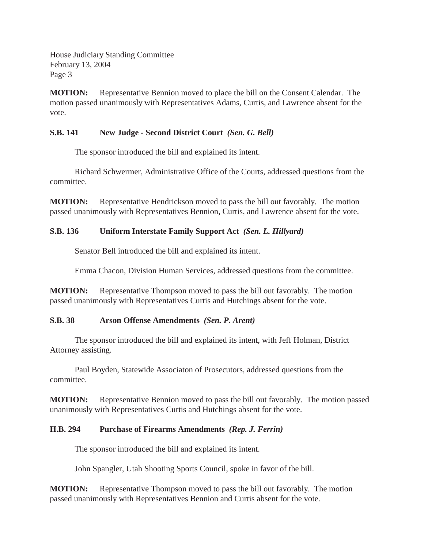House Judiciary Standing Committee February 13, 2004 Page 3

**MOTION:** Representative Bennion moved to place the bill on the Consent Calendar. The motion passed unanimously with Representatives Adams, Curtis, and Lawrence absent for the vote.

## **S.B. 141 New Judge - Second District Court** *(Sen. G. Bell)*

The sponsor introduced the bill and explained its intent.

Richard Schwermer, Administrative Office of the Courts, addressed questions from the committee.

**MOTION:** Representative Hendrickson moved to pass the bill out favorably. The motion passed unanimously with Representatives Bennion, Curtis, and Lawrence absent for the vote.

# **S.B. 136 Uniform Interstate Family Support Act** *(Sen. L. Hillyard)*

Senator Bell introduced the bill and explained its intent.

Emma Chacon, Division Human Services, addressed questions from the committee.

**MOTION:** Representative Thompson moved to pass the bill out favorably. The motion passed unanimously with Representatives Curtis and Hutchings absent for the vote.

### **S.B. 38 Arson Offense Amendments** *(Sen. P. Arent)*

The sponsor introduced the bill and explained its intent, with Jeff Holman, District Attorney assisting.

Paul Boyden, Statewide Associaton of Prosecutors, addressed questions from the committee.

**MOTION:** Representative Bennion moved to pass the bill out favorably. The motion passed unanimously with Representatives Curtis and Hutchings absent for the vote.

# **H.B. 294 Purchase of Firearms Amendments** *(Rep. J. Ferrin)*

The sponsor introduced the bill and explained its intent.

John Spangler, Utah Shooting Sports Council, spoke in favor of the bill.

**MOTION:** Representative Thompson moved to pass the bill out favorably. The motion passed unanimously with Representatives Bennion and Curtis absent for the vote.